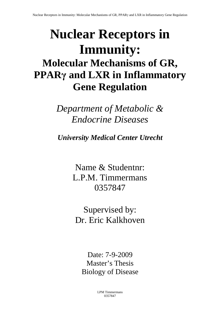# **Nuclear Receptors in Immunity: Molecular Mechanisms of GR, PPARγ and LXR in Inflammatory Gene Regulation**

*Department of Metabolic & Endocrine Diseases* 

*University Medical Center Utrecht*

Name & Studentnr: L.P.M. Timmermans 0357847

Supervised by: Dr. Eric Kalkhoven

Date: 7-9-2009 Master's Thesis Biology of Disease

> LPM Timmermans 0357847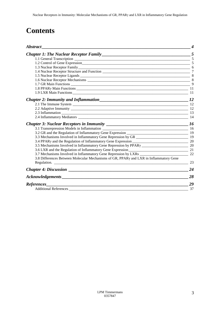# **Contents**

| <i><b>Abstract</b></i>                                                                 |    |
|----------------------------------------------------------------------------------------|----|
|                                                                                        |    |
|                                                                                        |    |
|                                                                                        |    |
|                                                                                        |    |
|                                                                                        |    |
|                                                                                        |    |
|                                                                                        |    |
|                                                                                        | 9  |
|                                                                                        |    |
|                                                                                        |    |
|                                                                                        |    |
|                                                                                        |    |
|                                                                                        |    |
|                                                                                        |    |
|                                                                                        | 14 |
|                                                                                        |    |
|                                                                                        |    |
|                                                                                        |    |
|                                                                                        |    |
|                                                                                        |    |
|                                                                                        |    |
|                                                                                        |    |
|                                                                                        | 22 |
| 3.8 Differences Between Molecular Mechanisms of GR, PPARy and LXR in Inflammatory Gene |    |
|                                                                                        |    |
|                                                                                        | 24 |
|                                                                                        | 28 |
| References                                                                             | 29 |
| Additional References                                                                  | 37 |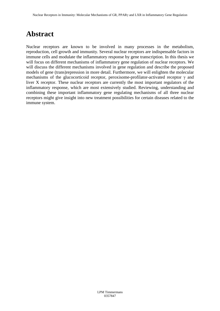# **Abstract**

Nuclear receptors are known to be involved in many processes in the metabolism, reproduction, cell growth and immunity. Several nuclear receptors are indispensable factors in immune cells and modulate the inflammatory response by gene transcription. In this thesis we will focus on different mechanisms of inflammatory gene regulation of nuclear receptors. We will discuss the different mechanisms involved in gene regulation and describe the proposed models of gene (trans)repression in more detail. Furthermore, we will enlighten the molecular mechanisms of the glucocorticoid receptor, peroxisome-profilator-activated receptor  $\gamma$  and liver X receptor. These nuclear receptors are currently the most important regulators of the inflammatory response, which are most extensively studied. Reviewing, understanding and combining these important inflammatory gene regulating mechanisms of all three nuclear receptors might give insight into new treatment possibilities for certain diseases related to the immune system.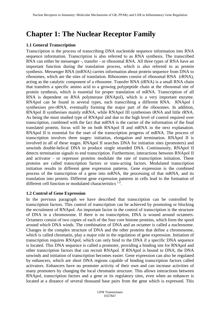# **Chapter 1: The Nuclear Receptor Family**

### **1.1 General Transcription**

Transcription is the process of transcribing DNA nucleotide sequence information into RNA sequence information. Transcription is also referred to as RNA synthesis. The transcribed RNA can either be messenger -, transfer - or ribosomal RNA. All three types of RNA have an important function during the translation process, which is also referred to as protein synthesis. Messenger RNA (mRNA) carries information about protein sequence from DNA to ribosomes, which are the sites of translation. Ribosomes consist of ribosomal RNA (rRNA), acting as the catalytic component of a ribosome. Transfer RNA (tRNA) is a small RNA chain that transfers a specific amino acid to a growing polypeptide chain at the ribosomal site of protein synthesis, which is essential for proper translation of mRNA. Transcription of all RNA is dependent on RNA polymerase (RNApol), which is a very important enzyme. RNApol can be found in several types, each transcribing a different RNA. RNApol I synthesises pre-rRNA, eventually forming the major part of the ribosomes. In addition, RNApol II synthesises mainly mRNA, while RNApol III synthesises tRNA and little rRNA. As being the most studied type of RNApol and due to the high level of control required over transcription, combined with the fact that mRNA is the carrier of the information of the final translated protein, focus will be on both RNApol II and mRNA in the next explanation. RNApol II is essential for the start of the transcription progress of mRNA. The process of transcription involves three stages: initiation, elongation and termination. RNApol II is involved in all of these stages. RNApol II searches DNA for initiation sites (promoters) and unwinds double-helical DNA to produce single stranded DNA. Continuously, RNApol II detects termination signals to end transcription. Furthermore, interactions between RNApol II and activator - or repressor proteins modulate the rate of transcription initiation. These proteins are called transcription factors or trans-acting factors. Modulated transcription initiation results in different gene expression patterns. Gene expression is the combined process of the transcription of a gene into mRNA, the processing of that mRNA, and its translation into protein. Different gene expression patterns in cells lead to the formation of different cell function or modulated characteristics<sup>1,2</sup>.

### **1.2 Control of Gene Expression**

In the previous paragraph we have described that transcription can be controlled by transcription factors. This control of transcription can be achieved by promoting or blocking the recruitment of RNApol. An important factor in the control of transcription is the structure of DNA in a chromosome. If there is no transcription, DNA is wound around octamers. Octamers consist of two copies of each of the four core histone proteins, which form the spool around which DNA winds. The combination of DNA and an octamer is called a nucleosome. Changes in the complex structure of DNA and the other proteins that define a chromosome, which is called chromatin, play a major role in the regulation of gene expression. Initiation of transcription requires RNApol, which can only bind to the DNA if a specific DNA sequence is located. This DNA sequence is called a promoter, providing a binding site for RNApol and other transcription factors that can recruit RNApol. If RNApol is bound to DNA, the DNA unwinds and initiation of transcription becomes easier. Gene expression can also be regulated by enhancers, which are short DNA regions capable of binding transcription factors called activators. Enhancers have no promoter activity of their own and can increase activities of many promoters by changing the local chromatin structure. This allows interactions between RNApol, transcription factors and a gene or its regulatory sites, even when an enhancer is located at a distance of several thousand base pairs from the gene which is expressed. This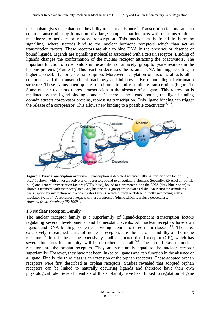mechanism gives the enhancers the ability to act at a distance  $2$ . Transcription factors can also control transcription by formation of a large complex that interacts with the transcriptional machinery to activate or repress transcription. This mechanism is found in hormone signalling, where steroids bind to the nuclear hormone receptors which than act as transcription factors. These receptors are able to bind DNA in the presence or absence of bound ligands. Ligands are signalling molecules associated with a certain receptor. Binding of ligands changes the conformation of the nuclear receptor attracting the coactivators. The important function of coactivators is the addition of an acetyl group to lysine residues in the histone proteins (Figure 1). This reaction decreases the octamer-DNA binding, resulting in higher accessibility for gene transcription. Moreover, acetylation of histones attracts other components of the transcriptional machinery and initiates active remodelling of chromatin structure. These events open up sites on chromatin and can initiate transcription (Figure 1). Some nuclear receptors repress transcription in the absence of a ligand. This repression is mediated by the ligand-binding domain. If there is no ligand bound, the ligand-binding domain attracts corepressor proteins, repressing transcription. Only ligand binding can trigger the release of a corepressor. This allows new binding to a possible coactivator  $^{2,121}$ .



**Figure 1. Basic transcription overview**. Transcription is depicted schematically. A transcription factor (TF, blue) is shown with either an activator or repressor, bound to a regulatory element. Secondly, RNApol II (pol II, blue) and general transcription factors (GTFs, blue), bound to a promoter along the DNA (dark blue ribbon) is shown. Octamers with their acetylated (Ac) histone tails (grey) are shown as disks. An Activator stimulates transcription by interaction with a coactivator (green), which attracts acetylase, directly interacting with a mediator (yellow). A repressor interacts with a corepressor (pink), which recruits a deacetylase. *Adapted from: Kornberg RD 1999 <sup>2</sup> .*

### **1.3 Nuclear Receptor Family**

The nuclear receptor family is a superfamily of ligand-dependent transcription factors regulating several developmental and homeostatic events. All nuclear receptors have own ligand- and DNA binding properties dividing them into three main classes  $3,4$ . The most extensively researched class of nuclear receptors are the steroid- and thyroid-hormone receptors  $\frac{3}{2}$ . In this thesis, the extensively studied glucocorticoid receptor (GR), which has several functions in immunity, will be described in detail  $5,6$ . The second class of nuclear receptors are the orphan receptors. They are structurally equal to the nuclear receptor superfamily. However, they have not been linked to ligands and can function in the absence of a ligand. Finally, the third class is an extension of the orphan receptors. These adopted orphan receptors were first described as orphan receptors. Studies revealed that adopted orphan receptors can be linked to naturally occurring ligands and therefore have their own physiological role. Several members of this subfamily have been linked to regulation of gene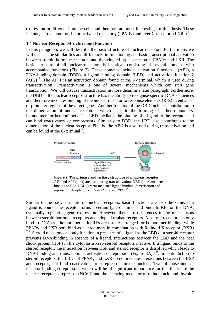expression in different immune cells and therefore are most interesting for this thesis. These include, peroxisome-profilator-activated receptor  $\gamma$  (PPAR $\gamma$ ) and liver X receptors (LXRs)<sup>7</sup>.

### **1.4 Nuclear Receptor Structure and Function**

In this paragraph, we will describe the basic structure of nuclear receptors. Furthermore, we will discuss the similarities and differences in functioning and basic transcriptional activation between steroid-hormone receptors and the adopted orphan receptors PPARγ and LXR. The basic structure of all nuclear receptors is identical, consisting of several domains with accompanied functions (Figure 2). These domains include, activation function 1 (AF1), a DNA-binding domain (DBD), a ligand binding domain (LBD) and activation function 2  $(AF2)$ <sup>3</sup>. The AF 1 is an activation domain found at the N-terminal, which is used during transactivation. Transactivation is one of several mechanisms which can start gene transcription. We will discuss transactivation in more detail in a later paragraph. Furthermore, the DBD in the nuclear receptor structure has the ability to recognise specific DNA sequences and therefore mediates binding of the nuclear receptor to response elements (REs) in enhancer or promoter regions of the target genes. Another function of the DBD includes contribution to the dimerisation of nuclear receptors, which leads to the forming of either monomers, homodimers or heterodimers. The LBD mediates the binding of a ligand to the receptor and can bind coactivators or corepressors. Similarly to DBD, the LBD also contributes to the dimerisation of the nuclear receptor. Finally, the AF-2 is also used during transactivation and can be found at the C-terminal  $3^{\circ}$ .



**Figure 2. The primary and tertiary structure of a nuclear receptor**. AF1 and AF2 (pink) are used during transactivation. DBD (blue) mediates binding to REs. LBD (green) mediates ligand binding, dimerisation and repression*. Adapted from: Glass CK et al. 2006, <sup>9</sup> .*

Similar to the basic structure of nuclear receptors, basic functions are also the same. If a ligand is bound, the receptor forms a certain type of dimer and binds to REs on the DNA, eventually regulating gene expression. However, there are differences in the mechanisms between steroid-hormone receptors and adopted orphan receptors. A steroid receptor can only bind to DNA as a homodimer as its REs are usually arranged for homodimer binding, while PPARγ and LXR both bind as heterodimers in combination with Retinoid X receptor (RXR)  $7.8$ . Steroid receptors can only function in presence of a ligand as the LBD of a steroid receptor prevents DNA-binding in absence of a ligand. Interactions between the LBD and the heat shock protein (HSP) in the cytoplasm keep steroid receptors inactive. If a ligand binds to the steroid receptor, the interaction between HSP and steroid receptor is dissolved which leads to DNA-binding and transcriptional activation or repression (Figure 3A)  $^{3,9}$ . In contradiction to steroid receptors, the LBDs of PPARγ and LXR do not mediate interactions between the HSP and receptor, but bind coactivators or corepressors in the nucleus. Two of those nuclear receptor binding corepressors, which will be of significant importance for this thesis are the nuclear receptor corepressor (NCoR) and the silencing mediator of retinoic-acid and thyroid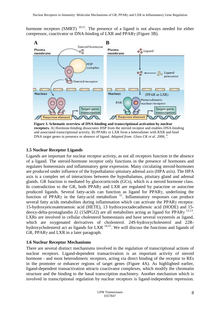hormone receptors (SMRT)  $^{10,11}$ . The presence of a ligand is not always needed for either corepressor, coactivator or DNA-binding of LXR and PPARγ (Figure 3B).



**Figure 3. Schematic overview of DNA-binding and transcriptional activation by nuclear receptors.** A) Hormone-binding dissociates HSP from the steroid receptor and enables DNA-binding and associated transcriptional activity. B) PPARγ or LXR form a heterodimer with RXR and bind DNA target genes in presence or absence of ligand. Adapted from: Glass CK et al. 2006, <sup>9</sup>.

# **1.5 Nuclear Receptor Ligands**

Ligands are important for nuclear receptor activity, as not all receptors function in the absence of a ligand. The steroid-hormone receptor only functions in the presence of hormones and regulates homeostasis and inflammatory gene expression. Many circulating steroid-hormones are produced under influence of the hypothalamic-pituitary adrenal axis (HPA axis). The HPA axis is a complex set of interactions between the hypothalamus, pituitary gland and adrenal glands. GR function is mediated by glucocorticoids (GCs), which is a steroid hormone class. In contradiction to the GR, both PPARγ and LXR are regulated by paracrine or autocrine produced ligands. Several fatty-acids can function as ligand for PPARγ, underlining the function of PPAR $\gamma$  in the fatty-acid metabolism  $^{12}$ . Inflammatory responses can produce several fatty acids metabolites during inflammation which can activate the PPARγ receptor. 15-hydroxyeicosatetraenoic acid (HETE), 13 hydroxyoctadecadienoic acid (HODE) and 15 deoxy-delta-prostaglandin J2 (15dPGJ2) are all metabolites acting as ligand for PPAR $\gamma$ <sup>12,13</sup>. LXRs are involved in cellular cholesterol homeostasis and have several oxysterols as ligand, which are oxygenated derivatives of cholesterol. 24S-hydroxycholesterol and 22Rhydroxycholesterol act as ligands for LXR  $^{14,15}$ . We will discuss the functions and ligands of GR, PPARγ and LXR in a later paragraph.

### **1.6 Nuclear Receptor Mechanisms**

There are several distinct mechanisms involved in the regulation of transcriptional actions of nuclear receptors. Ligand-dependent transactivation is an important activity of steroid hormone - and most heterodimeric receptors, acting via direct binding of the receptor to REs in the promoter or enhancer regions of target genes (Figure 4A). As highlighted earlier, ligand-dependent transactivation attracts coactivator complexes, which modify the chromatin structure and the binding to the basal transcription machinery. Another mechanism which is involved in transcriptional regulation by nuclear receptors is ligand-independent repression.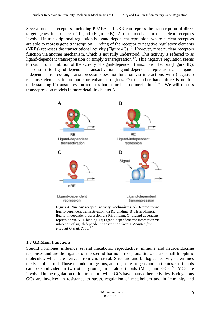Several nuclear receptors, including PPARγ and LXR can repress the transcription of direct target genes in absence of ligand (Figure 4B). A third mechanism of nuclear receptors involved in transcriptional regulation is ligand-dependent repression, where nuclear receptors are able to repress gene transcription. Binding of the receptor to negative regulatory elements (NREs) represses the transcriptional activity (Figure 4C)  $^{16}$ . However, most nuclear receptors function via another mechanism, which is not fully understood. This activity is referred to as ligand-dependent transrepression or simply transrepression  $17$ . This negative regulation seems to result from inhibition of the activity of signal-dependent transcription factors (Figure 4D). In contrast to ligand-dependent transactivation, ligand-dependent repression and ligandindependent repression, transrepression does not function via interactions with (negative) response elements in promoter or enhancer regions. On the other hand, there is no full understanding if transrepression requires homo- or heterodimerisation  $18-21$ . We will discuss transrepression models in more detail in chapter 3.



*Pascual G et al. 2006, .*

# **1.7 GR Main Functions**

Steroid hormones influence several metabolic, reproductive, immune and neuroendocrine responses and are the ligands of the steroid hormone receptors. Steroids are small lipophilic molecules, which are derived from cholesterol. Structure and biological activity determines the type of steroid. Those include: progestins, androgens, estrogens and corticoids. Corticoids can be subdivided in two other groups; mineralocorticoids (MCs) and GCs  $^{22}$ . MCs are involved in the regulation of ion transport, while GCs have many other activities. Endogenous GCs are involved in resistance to stress, regulation of metabolism and in immunity and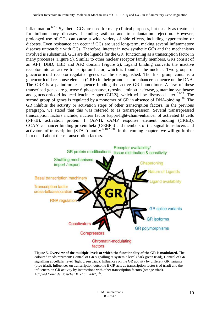inflammation  $6,23$ . Synthetic GCs are used for many clinical purposes, but usually as treatment for inflammatory diseases, including asthma and transplantation rejection. However, prolonged use of GCs can cause a wide variety of side effects, including hypertension or diabetes. Even resistance can occur if GCs are used long-term, making several inflammatory diseases untreatable with GCs. Therefore, interest in new synthetic GCs and the mechanisms involved is substantial. GCs are the ligands for the GR, functioning as a transcription factor in many processes (Figure 5). Similar to other nuclear receptor family members, GRs consist of an AF1, DBD, LBD and AF2 domain (Figure 2). Ligand binding converts the inactive receptor into an active transcription factor, which is found in the nucleus. Two groups of glucocorticoid receptor-regulated genes can be distinguished. The first group contains a glucocorticoid-response element (GRE) in their promoter - or enhancer sequence on the DNA. The GRE is a palindromic sequence binding the active GR homodimer. A few of these transcribed genes are glucose-6-phosphatase, tyrosine aminotransferase, glutamine synthetase and glucocorticoid induced leucine zipper (GILZ), which will be discussed later  $24-27$ . The second group of genes is regulated by a monomer of GR in absence of DNA-binding <sup>28</sup>. The GR inhibits the activity or activation steps of other transcription factors. In the previous paragraph, we stated that this was referred to as transrepression. Several transrepressed transcription factors include, nuclear factor kappa-light-chain-enhancer of activated B cells (NFκB), activation protein 1 (AP-1), cAMP response element binding (CREB), CCAAT/enhancer binding protein beta (C/EBPβ) and members of the signal transducers and activators of transcription (STAT) family  $6,18,29-31$ . In the coming chapters we will go further into detail about these transcription factors.



**Figure 5. Overview of the multiple levels at which the functionality of the GR is modulated.** The coloured triads represent: Control of GR signalling at systemic level (dark green triad), Control of GR signalling at cellular level (light green triad), Influences on the GR activity by different GR variants (blue triad), Influences on transcription outcome if GR acts as transcription factor (red triad) and the influences on GR activity by interactions with other transcription factors (orange triad). *Adapted from: de Bosscher K et al. 2007, <sup>22</sup> .*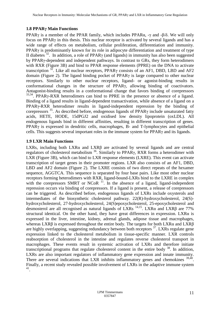# **1.8 PPARγ Main Functions**

PPAR<sub>γ</sub> is a member of the PPAR family, which includes PPARα,  $-\gamma$  and  $-\beta/\delta$ . We will only focus on PPARγ in this thesis. This nuclear receptor is activated by several ligands and has a wide range of effects on metabolism, cellular proliferation, differentiation and immunity. PPARγ is predominantly known for its role in adipocyte differentiation and treatment of type II diabetes  $32$ . In addition, a role of PPAR<sub>Y</sub> (and ligands) in immunity has also been suggested by PPARγ-dependent and independent pathways. In contrast to GRs, they form heterodimers with RXR (Figure 3B) and bind to PPAR response elements (PPRE) on the DNA to activate transcription  $32$ . Like all nuclear receptors, PPAR $\gamma$  consists of an AF1, DBD, LBD and AF2 domain (Figure 2). The ligand binding pocket of PPARγ is large compared to other nuclear receptors. Similarly to other nuclear receptors, ligand- or agonist-binding results in conformational changes in the structure of PPARγ, allowing binding of coactivators. Antagonist-binding results in a conformational change that favors binding of corepressors  $33,34$ . PPAR<sub>Y</sub>-RXR heterodimers can bind to PPRE in the presence or absence of a ligand. Binding of a ligand results in ligand-dependent transactivation, while absence of a ligand on a PPARγ-RXR heterodimer results in ligand-independent repression by the binding of corepressors  $35$ . As described before, endogenous ligands of PPAR<sub>γ</sub> include unsaturated fatty acids, HETE, HODE, 15dPGJ2 and oxidised low density lipoprotein (oxLDL). All endogenous ligands bind in different affinities, resulting in different transcription of genes. PPARγ is expressed in dendritic cells, macrophages, B- and T-lymphocytes and epithelial cells. This suggests several important roles in the immune system for  $PPAR\gamma$  and its ligands.

# **1.9 LXR Main Functions**

LXRs, including both LXR $\alpha$  and LXR $\beta$  are activated by several ligands and are central regulators of cholesterol metabolism  $36$ . Similarly to PPAR $\gamma$ , RXR forms a heterodimer with LXR (Figure 3B), which can bind to LXR response elements (LXRE). This event can activate transcription of target genes in their promoter regions. LXR also consists of an AF1, DBD, LBD and AF2 domain (Figure 2). The LXRE consists of two direct repeats of the hexamer sequence, AGGTCA. This sequence is separated by four base pairs. Like most other nuclear receptors forming heterodimers with RXR, ligand-bound-LXRs bind to the LXRE in complex with the corepressors SMRT or NCoR  $<sup>11</sup>$ . In the absence of a ligand, ligand-independent</sup> repression occurs via binding of corepressors. If a ligand is present, a release of corepressors can be triggered. As described before, endogenous ligands of LXRs include oxysterols and intermediates of the biosynthetic cholesterol pathway. 22(R)-hydroxycholesterol, 24(S) hydroxycholesterol, 27-hydroxycholesterol, 24(S)epoxycholesterol, 25-epoxycholesterol and desmosterol are all recognised as natural ligands of LXRs  $^{14,15}$ . LXR $\alpha$  and LXR $\beta$  are 77% structural identical. On the other hand, they have great differences in expression. LXR $\alpha$  is expressed in the liver, intestine, kidney, adrenal glands, adipose tissue and macrophages, whereas LXRβ is expressed throughout the entire body. The targets for both LXRα and LXRβ are highly overlapping, suggesting redundancy between both receptors <sup>37</sup>. LXRs regulate gene expression linked to the cholesterol metabolism in tissue-specific manner. LXR controls reabsorption of cholesterol in the intestine and regulates reverse cholesterol transport in macrophages. These events result in systemic activation of LXRs and therefore initiate transcriptional programs that regulate cholesterol content in the entire body  $^{38}$ . In addition, LXRs are also important regulators of inflammatory gene expression and innate immunity. There are several indications that LXR inhibits inflammatory genes and chemokines <sup>39,40</sup>. Finally, a recent study revealed possible involvement of LXRs in the adaptive immune system 41 .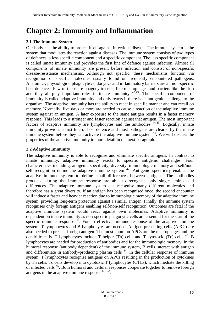# **Chapter 2: Immunity and Inflammation**

# **2.1 The Immune System**

Our body has the ability to protect itself against infectious disease. The immune system is the system that modulates the reaction against diseases. The immune system consists of two types of defences, a less specific component and a specific component. The less specific component is called innate immunity and provides the first line of defence against infection. Almost all components of innate immunity are present before infection and consist of non-specific disease-resistance mechanisms. Although not specific, these mechanisms function via recognition of specific molecules usually found on frequently encountered pathogens. Anatomic-, physiologic-, phagocytic/endocytic- and inflammatory barriers are all non-specific host defences. Few of these are phagocytic cells, like macrophages and barriers like the skin and they all play important roles in innate immunity  $42,43$ . The specific component of immunity is called adaptive immunity and only reacts if there is an antigenic challenge to the organism. The adaptive immunity has the ability to react in specific manner and can recall on memory. Normally, five days or more are needed to cause a reaction of the adaptive immune system against an antigen. A later exposure to the same antigen results in a faster memory response. This leads to a stronger and faster reaction against that antigen. The most important factors of adaptive immunity are lymphocytes and the antibodies <sup>44,45</sup>. Logically, innate immunity provides a first line of host defence and most pathogens are cleared by the innate immune system before they can activate the adaptive immune system <sup>46</sup>. We will discuss the properties of the adaptive immunity in more detail in the next paragraph.

# **2.2 Adaptive Immunity**

The adaptive immunity is able to recognise and eliminate specific antigens. In contrast to innate immunity, adaptive immunity reacts to specific antigenic challenges. Four characteristics including, antigenic specificity, diversity, immunologic memory and self/nonself recognition define the adaptive immune system  $47$ . Antigenic specificity enables the adaptive immune system to define small differences between antigens. The antibodies produced during the immune response are able to recognise only single amino acid differences. The adaptive immune system can recognise many different molecules and therefore has a great diversity. If an antigen has been recognised once, the second encounter will induce a faster and heavier reaction due to immunologic memory of the adaptive immune system, providing long-term protection against a similar antigen. Finally, the immune system recognises only foreign antigens enabling self/non-self recognition. Outcomes are fatal if the adaptive immune system would react against own molecules. Adaptive immunity is dependent on innate immunity as non-specific phagocytic cells are essential for the start of the specific immune response  $46$ . For an effective immune response of the adaptive immune system, T lymphocytes and B lymphocytes are needed. Antigen presenting cells (APCs) are also needed to present foreign antigen. The most common APCs are the macrophages and the dendritic cells. T lymphocytes include T helper (Th) cells and T cytotoxic (Tc) cells  $^{45}$ . B lymphocytes are needed for production of antibodies and for the immunologic memory. In the humoral response (antibody dependent) of the immune system, B cells interact with antigen and differentiate in antibody-producing plasma cells<sup>44</sup>. In the cellular response of immune system, T lymphocytes recognise antigens on APCs resulting in the production of cytokines by Th cells. Tc cells develop into cytotoxic T lymphocytes (CTLs), which mediate the killing of infected cells <sup>45</sup>. Both humoral and cellular responses cooperate together to remove foreign antigens in the adaptive immune response  $47,122$ .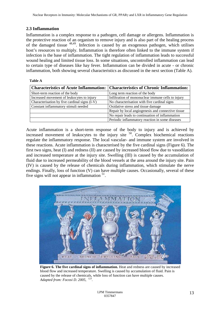# **2.3 Inflammation**

Inflammation is a complex response to a pathogen, cell damage or allergens. Inflammation is the protective reaction of an organism to remove injury and is also part of the healing process of the damaged tissue  $48,49$ . Infection is caused by an exogenous pathogen, which utilises host's resources to multiply. Inflammation is therefore often linked to the immune system if infection is the base of inflammation. The tight regulation of inflammation leads to successful wound healing and limited tissue loss. In some situations, uncontrolled inflammation can lead to certain type of diseases like hay fever. Inflammation can be divided in acute - or chronic inflammation, both showing several characteristics as discussed in the next section (Table A).

#### **Table A**

|                                               | <b>Characteristics of Acute Inflammation: Characteristics of Chronic Inflammation:</b> |
|-----------------------------------------------|----------------------------------------------------------------------------------------|
| Short-term reaction of the body               | Long term reaction of the body                                                         |
| Increased movement of leukocytes to injury    | Infiltration of mononuclear immune cells to injury                                     |
| Characterisation by five cardinal signs (I-V) | No characterisation with five cardinal signs                                           |
| Constant inflammatory stimuli needed          | Oxidative stress and tissue damage                                                     |
|                                               | Repair by local angiogenesis and connective tissue                                     |
|                                               | No repair leads to continuation of inflammation                                        |
|                                               | Periodic inflammatory reaction in some diseases                                        |

Acute inflammation is a short-term response of the body to injury and is achieved by increased movement of leukocytes to the injury site  $50$ . Complex biochemical reactions regulate the inflammatory response. The local vascular- and immune system are involved in these reactions. Acute inflammation is characterised by the five cardinal signs (Figure 6). The first two signs, heat (I) and redness (II) are caused by increased blood flow due to vasodilation and increased temperature at the injury site. Swelling (III) is caused by the accumulation of fluid due to increased permeability of the blood vessels at the area around the injury site. Pain (IV) is caused by the release of chemicals during inflammation, which stimulate the nerve endings. Finally, loss of function (V) can have multiple causes. Occasionally, several of these five signs will not appear in inflammation  $51$ .



**Figure 6. The five cardinal signs of inflammation.** Heat and redness are caused by increased blood flow and increased temperature. Swelling is caused by accumulation of fluid. Pain is caused by the release of chemicals, while loss of function can have multiple causes. *Adapted from: Focosi D. 2005, <sup>123</sup> .*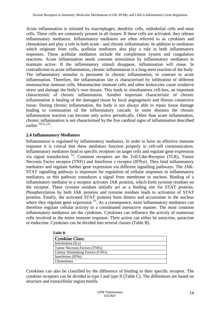Acute inflammation is initiated by macrophages, dendritic cells, endothelial cells and mast cells. These cells are commonly present in all tissues. If these cells are activated, they release inflammatory mediators. Inflammatory mediators are often referred to as cytokines and chemokines and play a role in both acute - and chronic inflammation. In addition to mediators which originate from cells, acellular mediators also play a role in both inflammatory responses. These acellular mediators include the complement system and coagulation reactions. Acute inflammation needs constant stimulation by inflammatory mediators to maintain active. If the inflammatory stimuli disappear, inflammation will cease. In contradiction to acute inflammation, chronic inflammation is a long-term reaction of the body. The inflammatory stimulus is persistent in chronic inflammation, in contrast to acute inflammation. Therefore, the inflammation site is characterised by infiltration of different mononuclear immune cells. Mononuclear immune cells and other leukocytes cause oxidative stress and damage the body's own tissues. This leads to simultaneous cell-loss, an important characteristic of chronic inflammation. Another important characteristic of chronic inflammation is healing of the damaged tissue by local angiogenesis and fibrous connective tissue. During chronic inflammation, the body is not always able to repair tissue damage leading to continuation of the inflammatory cascade. In some diseases the chronic inflammation reaction can become only active periodically. Other than acute inflammation, chronic inflammation is not characterised by the five cardinal signs of inflammation described earlier <sup>50,51,122</sup>.

#### **2.4 Inflammatory Mediators**

Inflammation is regulated by inflammatory mediators. In order to have an effective immune response it is critical that these mediators function properly in cell-cell communication. Inflammatory mediators bind to specific receptors on target cells and regulate gene expression via signal transduction  $52$ . Common receptors are the Toll-Like-Receptor (TLR), Tumor Necrosis Factor receptor (TNFr) and Interferon γ receptor (IFNγr). They bind inflammatory mediators and regulate further gene expression via different signalling pathways. The JAK-STAT signalling pathway is important for regulation of cellular responses to inflammatory mediators, as this pathway transduces a signal from membrane to nucleus. Binding of a inflammatory mediator to a receptor activates JAK proteins, which form tyrosine residues on the receptor. These tyrosine residues initially act as a binding site for STAT proteins. Phosphorylation by both JAK proteins and tyrosine residues leads to activation of STAT proteins. Finally, the activated STAT proteins form dimers and accumulate in the nucleus where they regulate gene expression  $53$ . As a consequence, most inflammatory mediators can therefore regulate cellular activity in a coordinated interactive manner. The most common inflammatory mediators are the cytokines. Cytokines can influence the activity of numerous cells involved in the entire immune response. Their action can either be autocrine, paracrine or endocrine. Cytokines can be divided into several classes (Table B).

| <b>Table B</b>                    |  |
|-----------------------------------|--|
| <b>Cytokine Class:</b>            |  |
| Interleukins (ILs)                |  |
| Tumor Necrosis Factors (TNFs)     |  |
| Colony Stimulating Factors (CSFs) |  |
| Interferons (IFNs)                |  |
| Chemokines                        |  |

Cytokines can also be classified by the difference of binding to their specific receptor. The cytokine receptors can be divided in type I and type II (Table C). The differences are based on structure and extracellular region motifs.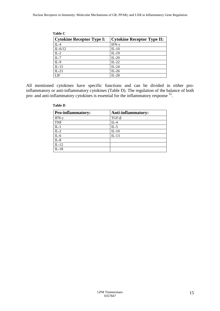| Table C                          |                                   |  |
|----------------------------------|-----------------------------------|--|
| <b>Cytokine Receptor Type I:</b> | <b>Cytokine Receptor Type II:</b> |  |
| $IL-4$                           | IFN- $\nu$                        |  |
| IL- $6/12$                       | $IL-10$                           |  |
| $IL-2$                           | $IL-19$                           |  |
| $IL-7$                           | $IL-20$                           |  |
| $IL-9$                           | $IL-22$                           |  |
| $IL-15$                          | $IL-24$                           |  |
| $IL-21$                          | $IL-26$                           |  |
| LIF                              | $IL-28$                           |  |

All mentioned cytokines have specific functions and can be divided in either proinflammatory or anti-inflammatory cytokines (Table D). The regulation of the balance of both pro- and anti-inflammatory cytokines is essential for the inflammatory response <sup>52</sup>.

| <b>Pro-inflammatory:</b> | Anti-inflammatory: |
|--------------------------|--------------------|
| IFN- $\gamma$            | $TGF-\beta$        |
| <b>TNF</b>               | $IL-4$             |
| $IL-1$                   | $IL-5$             |
| $IL-2$                   | $IL-10$            |
| $IL-6$                   | $IL-13$            |
| $\overline{IL} - 8$      |                    |
| $IL-12$                  |                    |
| $IL-18$                  |                    |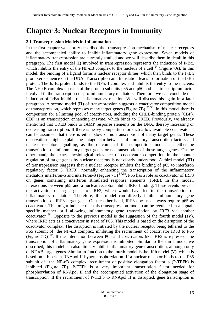# **Chapter 3: Nuclear Receptors in Immunity**

#### **3.1 Transrepression Models in Inflammation**

In the first chapter we shortly described the transrepression mechanism of nuclear receptors and the accompanied ability to inhibit inflammatory gene expression. Seven models of inflammatory transrepression are currently studied and we will describe them in detail in this paragraph. The first model **(I)** involved in transrepression represents the induction of IκBα, which inhibits the entry of the NF- $\kappa$ B complex to the nucleus of a cell <sup>54</sup> (Figure 7A). In this model, the binding of a ligand forms a nuclear receptor dimer, which then binds to the  $I\kappa B\alpha$ promoter sequence on the DNA. Transcription and translation leads to formation of the  $I\kappa Ba$ protein. The IκBα protein binds to the NF-κB complex and inhibits the entry to the nucleus. The NF-κB complex consists of the protein subunits p65 and p50 and is a transcription factor involved in the transcription of pro-inflammatory mediators. Therefore, we can conclude that induction of  $I \kappa B\alpha$  inhibits the inflammatory reaction. We will discuss this again in a later paragraph. A second model **(II)** of transrepression suggests a coactivator competition model of transrepression, which represses many target genes (Figure 7B)  $^{55,56}$ . In this model there is competition for a limiting pool of coactivators, including the CREB-binding protein (CBP). CBP is an transcription enhancing enzyme, which binds to CREB. Previously, we already mentioned that CREB binds to cAMP response elements on the DNA, thereby increasing or decreasing transcription. If there is heavy competition for such a low available coactivator it can be assumed that there is either slow or no transcription of many target genes. These observations might explain the antagonism between inflammatory transcription factors and nuclear receptor signalling, as the outcome of the competition model can either be transcription of inflammatory target genes or no transcription of those target genes. On the other hand, the exact physiological relevance of coactivator competition in the counter regulation of target genes by nuclear receptors is not clearly understood. A third model **(III)** of transrepression suggests that a nuclear receptor inhibits the binding of p65 to interferon regulatory factor 3 (IRF3), normally enhancing the transcription of the inflammatory mediators interferon- $\alpha$  and interferon- $\beta$  (Figure 7C)<sup>57,58</sup>. P65 has a role as coactivator of IRF3 on genes containing interferon stimulated response elements (ISRE). In this model, interactions between p65 and a nuclear receptor inhibit IRF3 binding. These events prevent the activation of target genes of IRF3, which would have led to the transcription of inflammatory mediators. Therefore, this model can directly inhibit inflammatory gene transcription of IRF3 target gens. On the other hand, IRF3 does not always require p65 as coactivator. This might indicate that this transrepression model can be regulated in a signalspecific manner, still allowing inflammatory gene transcription by IRF3 via another coactivator <sup>58</sup>. Opposite to the previous model is the suggestion of the fourth model **(IV)**, where IRF3 acts as a coactivator in stead of P65. This model is based on the disruption of the coactivator complex. The disruption is initiated by the nuclear receptor being tethered to the P65 subunit of the NF-κB complex, inhibiting the recruitment of coactivator IRF3 to P65 (Figure 7D)<sup>59</sup>. If the interaction between P65 and coactivators like IRF3 is repressed, the transcription of inflammatory gene expression is inhibited. Similar to the third model we described, this model can also directly inhibit inflammatory gene transcription, although only of NF-κB target genes. Similar in function to the fourth model is the fifth model **(V)**, which is based on a block in RNApol II hyperphosphorylation. If a nuclear receptor binds to the P65 subunit of the NF-κB complex, recruitment of positive elongation factor b (P-TEFb) is inhibited (Figure 7E). P-TEFb is a very important transcription factor needed for phosphorylation of RNApol II and the accompanied activation of the elongation stage of transcription. If the recruitment of P-TEFb to RNApol II is disrupted, gene transcription is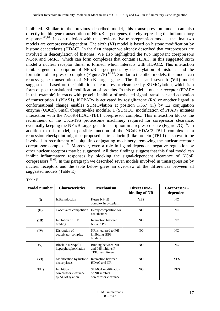inhibited. Similar to the previous described model, this transrepression model can also directly inhibit gene transcription of NF-κB target genes, thereby repressing the inflammatory response  $60,61$ . In contradiction with the previous five transrepression models, the final two models are corepressor-dependent. The sixth **(VI)** model is based on histone modification by histone deacetylases (HDAC). In the first chapter we already described that corepressors are involved in deacetylation of histones. We also highlighted the two important corepressors NCoR and SMRT, which can form complexes that contain HDAC. In this suggested sixth model a nuclear receptor dimer is formed, which interacts with HDAC2. This interaction inhibits gene transcription of NF-κB target genes by deacetylation of histones and the formation of a repressor complex (Figure  $7F$ )  $62-64$ . Similar to the other models, this model can repress gene transcription of NF-κB target genes. The final and seventh **(VII)** model suggested is based on the inhibition of corepressor clearance by SUMOylation, which is a form of post-translational modification of proteins. In this model, a nuclear receptor (PPARγ in this example) interacts with protein inhibitor of activated signal transducer and activation of transcription 1 (PIAS1). If PPARγ is activated by rosiglitazone (Ro) or another ligand, a conformational change enables SUMOylation at position K367 (K) by E2 conjugation enzyme (UBC9). Small ubiquitin-like modifier 1 (SUMO1) modification of PPARγ initiates interaction with the NCoR-HDAC-TBL1 corepressor complex. This interaction blocks the recruitment of the Ubc5/19S proteosome machinery required for corepressor clearance, eventually keeping the NF- $\kappa$ B target gene transcription in a repressed state (Figure 7G)  $^{65}$ . In addition to this model, a possible function of the NCoR-HDAC3-TBL1 complex as a repression checkpoint might be proposed as transducin β-like protein (TBL1) is shown to be involved in recruitment of ubiquitin conjugating machinery, removing the nuclear receptor corepressor complex <sup>66</sup>. Moreover, even a role in ligand-dependent negative regulation by other nuclear receptors may be suggested. All these findings suggest that this final model can inhibit inflammatory responses by blocking the signal-dependent clearance of NCoR corepressors 65,66. In this paragraph we described seven models involved in transrepression by nuclear receptors and the table below gives an overview of the differences between all suggested models (Table E).

| <b>Model number</b> | <b>Characteristics</b>                                   | <b>Mechanism</b>                                                     | <b>Direct DNA-</b><br>binding of NR | Corepressor -<br>dependent |
|---------------------|----------------------------------------------------------|----------------------------------------------------------------------|-------------------------------------|----------------------------|
| (I)                 | Iκ $B\alpha$ induction                                   | Keeps NF- <sub>KB</sub><br>complex in cytoplasm                      | <b>YES</b>                          | N <sub>O</sub>             |
| (II)                | Coactivator competition                                  | Heavy competition for<br>coactivators                                | N <sub>O</sub>                      | NO.                        |
| (III)               | Inhibition of IRF3<br>binding                            | Interaction between<br>NR and P65                                    | NO.                                 | N <sub>O</sub>             |
| (IV)                | Disruption of<br>coactivator complex                     | NR is tethered to P65<br>inhibiting IRF3<br>binding                  | N <sub>O</sub>                      | N <sub>O</sub>             |
| (V)                 | Block in RNApol II<br>hyperphosphorylation               | Binding between NR<br>and P65 inhibits P-<br><b>TEFb</b> recruitment | NO.                                 | N <sub>O</sub>             |
| (VI)                | Modification by histone<br>deacetylases                  | Interaction between<br>HDAC and NR                                   | NO.                                 | <b>YES</b>                 |
| (VII)               | Inhibition of<br>corepressor clearance<br>by SUMOylation | SUMO1 modification<br>of NR inhibits<br>corepressor clearance        | N <sub>O</sub>                      | <b>YES</b>                 |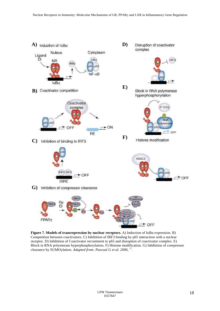

**Figure 7. Models of transrepression by nuclear receptors.** A) Induction of IκBα expression. B) Competition between coactivators. C) Inhibition of IRF3 binding by p65 interaction with a nuclear receptor. D) Inhibition of Coactivator recruitment to p65 and disruption of coactivator complex. E) Block in RNA polymerase hyperphosphorylation. F) Histone modification. G) Inhibition of corepressor clearance by SUMOylation. *Adapted from: Pascual G et al. 2006, <sup>17</sup> .*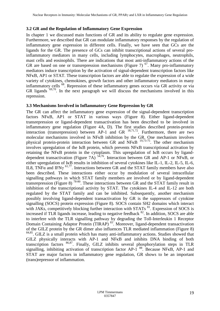#### **3.2 GR and the Regulation of Inflammatory Gene Expression**

In chapter 1 we discussed main functions of GR and its ability to regulate gene expression. Furthermore, we described that GR can modulate inflammatory responses by the regulation of inflammatory gene expression in different cells. Finally, we have seen that GCs are the ligands for the GR. The presence of GCs can inhibit transcriptional actions of several proinflammatory mediators in many cells, including lymphocytes, macrophages, neutrophils, mast cells and eosinophils. There are indications that most anti-inflammatory actions of the GR are based on one or transrepression mechanisms (Figure 7)  $^{67}$ . Many pro-inflammatory mediators induce transcription by the activation of signal-dependent transcription factors like NFκB, AP1 or STAT. These transcription factors are able to regulate the expression of a wide variety of cytokines, chemokines, growth factors and other inflammatory mediators in many inflammatory cells <sup>68</sup>. Repression of these inflammatory genes occurs via GR activity or via GR ligands  $69,70$ . In the next paragraph we will discuss the mechanisms involved in this repression.

#### **3.3 Mechanisms Involved in Inflammatory Gene Repression by GR**

The GR can affect the inflammatory gene expression of the signal-dependent transcription factors NFκB, AP1 or STAT in various ways (Figure 8). Either ligand-dependent transrepression or ligand-dependent transactivation has been described to be involved in inflammatory gene regulation (Figure 4A, D). The first studies described protein-protein interaction (transrepression) between AP-1 and GR  $^{18,71,72}$ . Furthermore, there are two molecular mechanisms involved in NFκB inhibition by the GR. One mechanism involves physical protein-protein interaction between GR and  $N$ FKB  $^{19,73-75}$ . The other mechanism involves upregulation of the IκB protein, which prevents NFκB transcriptional activation by retaining the NFκB protein in the cytoplasm. This upregulation of IκB occurs by liganddependent transactivation (Figure 7A)  $54.76$ . Interaction between GR and AP-1 or NFKB, or either upregulation of IκB results in inhibition of several cytokines like IL-1, IL-2, IL-5, IL-6, IL8, TNFα and IFN $\gamma$ <sup>61,77</sup>. Interactions between GR and the STAT family members have also been described. These interactions either occur by modulation of several intracellular signalling pathways in which STAT family members are involved or by ligand-dependent transrepression (Figure 8) <sup>78-80</sup>. These interactions between GR and the STAT family result in inhibition of the transcriptional activity by STAT. The cytokines IL-4 and IL-12 are both regulated by the STAT family and can be inhibited. Subsequently, another mechanism possibly involving ligand-dependent transactivation by GR is the suppressors of cytokine signalling (SOCS) protein expression (Figure 8). SOCS contain SH2 domains which interact with JAKs, competitively blocking further interaction with STATs  $81$ . Expression of SOCS is increased if TLR ligands increase, leading to negative feedback  $82$ . In addition, SOCS are able to interfere with the TLR signalling pathway by degrading the Toll-Interleukin 1 Receptor Domain Containing Adaptor Protein (TIRAP)<sup>83</sup>. Moreover, ligand-dependent transactivation of the GILZ protein by the GR dimer also influences TLR mediated inflammation (Figure 8) <sup>84,85</sup>. GILZ is a small protein which has many anti-inflammatory actions. Studies showed that GILZ physically interacts with AP-1 and NFκB and inhibits DNA binding of both transcription factors  $86,87$ . Finally, GILZ inhibits several phosphorylation steps in TLR signalling, inhibiting activation of transcription factor  $AP-1^{88}$ . Because NFKB, AP-1 and STAT are major factors in inflammatory gene regulation, GR shows to be an important (trans)repressor of inflammation.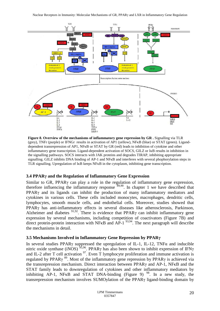

**Figure 8. Overview of the mechanisms of inflammatory gene repression by GR .** Signalling via TLR (grey), TNFr (purple) or IFNGr results in activation of AP1 (yellow), NFκB (blue) or STAT (green). Liganddependent transrepression of AP1, NFκB or STAT by GR (red) leads to inhibition of cytokine and other inflammatory gene transcription. Ligand-dependent activation of SOCS, GILZ or IκB results in inhibition in the signalling pathways. SOCS interacts with JAK proteins and degrades TIRAP, inhibiting appropriate signalling. GILZ inhibits DNA binding of AP-1 and NFKB and interferes with several phophorylation steps in TLR signalling. Upregulation of IκB keeps NFκB in the cytoplasm, inhibiting gene transcription.

### **3.4 PPARγ and the Regulation of Inflammatory Gene Expression**

Similar to GR, PPARγ can play a role in the regulation of inflammatory gene expression, therefore influencing the inflammatory response  $\frac{89,90}{89,90}$ . In chapter 1 we have described that PPARγ and its ligands can inhibit the production of many inflammatory mediators and cytokines in various cells. These cells included monocytes, macrophages, dendritic cells, lymphocytes, smooth muscle cells, and endothelial cells. Moreover, studies showed that PPARγ has anti-inflammatory effects in several diseases like atherosclerosis, Parkinson, Alzheimer and diabetes  $91,92$ . There is evidence that PPAR $\gamma$  can inhibit inflammatory gene expression by several mechanisms, including competition of coactivators (Figure 7B) and direct protein-protein interaction with NFKB and AP-1<sup>93,94</sup>. The next paragraph will describe the mechanisms in detail.

### **3.5 Mechanisms Involved in Inflammatory Gene Repression by PPARγ**

In several studies PPARγ suppressed the upregulation of IL-1, IL-12, TNFα and inducible nitric oxide synthase (iNOS)<sup>95,96</sup>. PPAR<sub>Y</sub> has also been shown to inhibit expression of IFN<sub>Y</sub> and IL-2 after T cell activation  $97$ . Even T lymphocyte proliferation and immune activation is regulated by PPAR $\gamma$ <sup>89</sup>. Most of the inflammatory gene repression by PPAR $\gamma$  is achieved via the transrepression mechanism. Direct interaction between PPARγ and AP-1, NFκB and the STAT family leads to downregulation of cytokines and other inflammatory mediators by inhibiting  $AP-1$ , NFKB and STAT DNA-binding (Figure 9)<sup>98</sup>. In a new study, the transrepression mechanism involves SUMOylation of the PPARγ ligand-binding domain by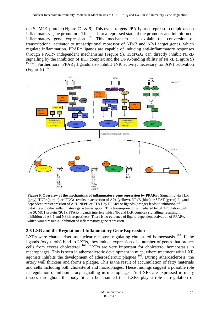the SUMO1 protein (Figure 7G & 9). This event targets PPARγ to corepressor complexes on inflammatory gene promotors. This leads to a repressed state of the promoter and inhibition of inflammatory gene expression <sup>65</sup>. This mechanism can explain the conversion of transcriptional activator to transcriptional repressor of NFκB and AP-1 target genes, which regulate inflammation. PPARγ ligands are capable of inducing anti-inflammatory responses through PPARγ independent mechanisms (Figure 9). 15dPGJ2 can directly inhibit NFκB signalling by the inhibition of IKK complex and the DNA-binding ability of NFκB (Figure 9) <sup>99-101</sup>. Furthermore, PPARγ ligands also inhibit JNK activity, necessary for AP-1 activation (Figure 9)  $^{102}$ .



**Figure 9. Overview of the mechanisms of inflammatory gene repression by PPARγ .** Signalling via TLR (grey), TNFr (purple) or IFNGr results in activation of AP1 (yellow), NFκB (blue) or STAT (green). Liganddependent transrepression of AP1, NFκB or STAT by PPARγ or ligands (orange) leads to inhibition of cytokine and other inflammatory gene transcription. This transrepression is mediated by SUMOylation with the SUMO1 protein (SU1). PPARγ ligands interfere with JNK and IKK complex signalling, resulting in inhibition of AP-1 and NFκB respectively. There is no evidence of ligand-dependent activation of PPARγ, which would result in inhibition of inflammatory gene repression.

### **3.6 LXR and the Regulation of Inflammatory Gene Expression**

LXRs were characterised as nuclear receptors regulating cholesterol homeostasis  $^{103}$ . If the ligands (oxysterols) bind to LXRs, they induce expression of a number of genes that protect cells from excess cholesterol  $104$ . LXRs are very important for cholesterol homeostasis in macrophages. This is seen in atherosclerotic development in mice, where treatment with LXR agonists inhibits the development of atherosclerotic plaques  $105$ . During atherosclerosis, the artery wall thickens and forms a plaque. This is the result of accumulation of fatty materials and cells including both cholesterol and macrophages. These findings suggest a possible role in regulation of inflammatory signalling in macrophages. As LXRs are expressed in many tissues throughout the body, it can be assumed that LXRs play a role in regulation of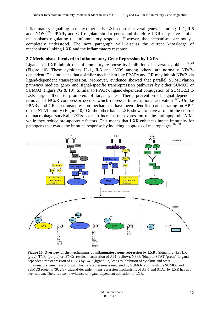inflammatory signalling in many other cells. LXR controls several genes, including IL-1, Il-6 and iNOS  $106$ . PPAR $\gamma$  and GR regulate similar genes and therefore LXR may have similar mechanisms regulating the inflammatory response. However, the mechanisms are not yet completely understood. The next paragraph will discuss the current knowledge of mechanisms linking LXR and the inflammatory response.

#### **3.7 Mechanisms Involved in Inflammatory Gene Repression by LXRs**

Ligands of LXR inhibit the inflammatory response by inhibition of several cytokines  $39,40$ (Figure 10). These cytokines IL-1, Il-6 and iNOS among others, are normally NFκBdependent. This indicates that a similar mechanism like PPARγ and GR may inhibit NFκB via ligand-dependent transrepression. Moreover, evidence showed that parallel SUMOylation pathways mediate gene- and signal-specific transrepression pathways by either SUMO2 or SUMO3 (Figure 7G & 10). Similar to PPARγ, ligand-dependent conjugation of SUMO2,3 to LXR targets them to promoters of target genes. There, prevention of signal-dependent removal of NCoR corepressor occurs, which represses transcriptional activation  $107$ . Unlike PPARγ and GR, no transrepression mechanisms have been identified concentrating on AP-1 or the STAT family (Figure 10). On the other hand, LXR shows to have a role in the control of macrophage survival. LXRs seem to increase the expression of the anti-apoptotic AIM, while they reduce pro-apoptotic factors. This means that LXR enhances innate immunity for pathogens that evade the immune response by inducing apoptosis of macrophages <sup>40,108</sup>.



**Figure 10. Overview of the mechanisms of inflammatory gene repression by LXR .** Signalling via TLR (grey), TNFr (purple) or IFNGr results in activation of AP1 (yellow), NFκB (blue) or STAT (green). Liganddependent transrepression of NFκB by LXR (light blue) leads to inhibition of cytokine and other inflammatory gene transcription. This transrepression is mediated by SUMOylation with the SUMO2 and SUMO3 proteins (SU2/3). Ligand-dependent transrepression mechanisms of AP-1 and STAT by LXR has not been shown. There is also no evidence of ligand-dependent activation of LXR.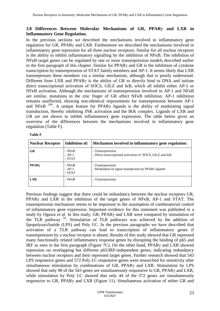# **3.8 Differences Between Molecular Mechanisms of GR, PPARγ and LXR in Inflammatory Gene Regulation.**

In the previous sections we described the mechanisms involved in inflammatory gene regulation for GR, PPARγ and LXR. Furthermore we described the mechanisms involved in inflammatory gene repression for all three nuclear receptors. Similar for all nuclear receptors is the ability to inhibit inflammatory signalling by the inhibition of NFκB. The inhibition of NFκB target genes can be regulated by one or more transrepression models described earlier in the first paragraph of this chapter. Similar for PPARγ and GR is the inhibition of cytokine transcription by transrepression of STAT family members and AP-1. It seems likely that LXR transrepresses these members via a similar mechanism, although that is poorly understood. Different from LXR and PPARγ is the ability of GR to directly bind to DNA and initiate direct transcriptional activation of SOCS, GILZ and IκB, which all inhibit either AP-1 or NFκB activation. Although the mechanisms of transrepression involved in AP-1 and NFκB are similar, mutations in the zinc finger of GR affect NFκB inhibition. AP-1 inhibition remains unaffected, showing non-identical requirements for transrepression between AP-1 and NFKB  $^{109}$ . A unique feature for PPAR $\gamma$  ligands is the ability of modulating signal transduction, thereby inhibiting JNK activation and the IKK complex. Ligands of LXR and GR are not shown to inhibit inflammatory gene expression. The table below gives an overview of the differences between the mechanisms involved in inflammatory gene regulation (Table F).

| <b>Nuclear Receptor</b> | Inhibition of:             | Mechanism involved in inflammatory gene regulation:                                   |
|-------------------------|----------------------------|---------------------------------------------------------------------------------------|
| <b>GR</b>               | - NFkB<br>- AP-1<br>- STAT | - Transrepression<br>- Direct transcriptional activation of SOCS, GILZ and IKB        |
| $PPAR\gamma$            | - NFkB<br>- AP-1<br>- STAT | - Transrepression<br>- Modulation of signal transduction by PPAR <sub>y</sub> ligands |
| <b>LXR</b>              | - NFkB                     | - Transrepression                                                                     |

**Table F**

Previous findings suggest that there could be redundancy between the nuclear receptors GR, PPARγ and LXR in the inhibition of the target genes of NFκB, AP-1 and STAT. The transrepression mechanism seems to be important in the assumption of combinatorial control of inflammatory gene expression. Important evidence for this statement was published in a study by Ogawa *et al.* In this study, GR, PPARγ and LXR were compared by stimulation of the TLR pathway <sup>58</sup>. Stimulation of TLR pathways was achieved by the addition of lipopolysaccharide (LPS) and Poly I:C. In the previous paragraphs we have described that activation of a TLR pathway can lead to transcription of inflammatory genes if transrepression by a nuclear receptor is absent. Results of this study showed that GR repressed many functionally related inflammatory response genes by disrupting the binding of p65 and IRF as seen in the first paragraph (Figure 7C). On the other hand, PPARγ and LXR showed repression on overlapping but different p65/IRF-independent genes, indicating redundancy between nuclear receptors and their repressed target genes. Further research showed that 543 LPS responsive genes and 572 Poly I:C responsive genes were researched for sensitivity after simultaneous stimulation by combinations of GR, PPARγ and LXR. Stimulation by LPS showed that only 98 of the 543 genes are simultaneously responsive to GR, PPARγ and LXR, while stimulation by Poly I:C showed that only 44 of the 572 genes are simultaneously responsive to GR, PPARγ and LXR (Figure 11). Simultaneous activation of either GR and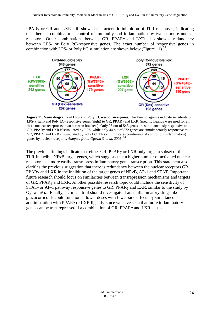PPARγ or GR and LXR still showed characteristic inhibition of TLR responses, indicating that there is combinatorial control of immunity and inflammation by two or more nuclear receptors. Other combinations between GR, PPARγ and LXR also showed redundancy between LPS- or Poly I:C-responsive genes. The exact number of responsive genes in combination with LPS- or Poly I:C stimulation are shown below (Figure 11)<sup>58</sup>.



**Figure 11. Venn diagrams of LPS and Poly I:C-responsive genes.** The Venn diagrams indicate sensitivity of LPS- (right) and Poly I:C-responsive genes (right) to GR, PPARγ and LXR. Specific ligands were used for all three nuclear receptor (shown between brackets). Only 98 out of 543 genes are simultaneously responsive to GR, PPARγ and LXR if stimulated by LPS, while only 44 out of 572 genes are simultaneously responsive to GR, PPARγ and LXR if stimulated by Poly I:C. This still indicates combinatorial control of (inflammatory) genes by nuclear receptors. *Adapted from: Ogawa S et al. 2005, <sup>58</sup> .*

The previous findings indicate that either GR, PPARγ or LXR only target a subset of the TLR-inducible NFκB target genes, which suggests that a higher number of activated nuclear receptors can more easily transrepress inflammatory gene transcription. This statement also clarifies the previous suggestion that there is redundancy between the nuclear receptors GR, PPARγ and LXR in the inhibition of the target genes of NFκB, AP-1 and STAT. Important future research should focus on similarities between transrepression mechanisms and targets of GR, PPARγ and LXR. Another possible research topic could include the sensitivity of STAT- or AP-1 pathway responsive genes to GR, PPARγ and LXR, similar to the study by Ogawa *et al.* Finally, a clinical trial should investigate if anti-inflammatory drugs like glucocorticoids could function at lower doses with fewer side effects by simultaneous administration with PPARγ or LXR ligands, since we have seen that more inflammatory genes can be transrepressed if a combination of GR, PPARγ and LXR is used.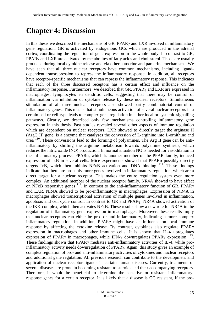# **Chapter 4: Discussion**

In this thesis we described the mechanisms of GR,  $PPAR\gamma$  and LXR involved in inflammatory gene regulation. GR is activated by endogenous GCs which are produced in the adrenal cortex, coordinating the regulation of gene expression in the whole body. In contrast to GR, PPARγ and LXR are activated by metabolites of fatty acids and cholesterol. Those are usually produced during local cytokine release and via other autocrine and paracrine mechanisms. We have seen that all three nuclear receptors have common mechanisms, including liganddependent transrepression to repress the inflammatory response. In addition, all receptors have receptor-specific mechanisms that can repress the inflammatory response. This indicates that each of the three discussed receptors has a certain effect and influence on the inflammatory response. Furthermore, we descibed that GR, PPARγ and LXR are expressed in macrophages, lymphocytes en dendritic cells, suggesting that there may be control of inflammation via inhibition of cytokine release by these nuclear receptors. Simultaneous stimulation of all three nuclear receptors also showed partly combinatorial control of inflammatory genes. This means that simultaneous activation of several nuclear receptors in a certain cell or cell-type leads to complex gene regulation in either local or systemic signalling pathways. Clearly, we described only few mechanisms controlling inflammatory gene expression in this thesis. Past studies revealed several other aspects of immune regulation which are dependent on nuclear receptors. LXR showed to directly target the arginase II (ArgG II) gene, is a enzyme that catalyses the conversion of L-arginine into L-ornithine and urea <sup>110</sup>. These conversions lead to the forming of polyamines. The Arg II gene can be antiinflammatory by shifting the arginine metabolism towards polyamine synthesis, which reduces the nitric oxide (NO) production. In normal situation NO is needed for vasodilation in the inflammatory process. PPARα, which is another member of the PPAR family, induced expression of IκB in several cells. Mice experiments showed that PPARα possibly directly targets I $\kappa$ B, which then inhibits NF $\kappa$ B activation and DNA binding  $^{111}$ . These findings indicate that there are probably more genes involved in inflammatory regulation, which are a direct target for a nuclear receptor. This makes the entire regulation system even more complex. An additional member of the nuclear receptor family, NR4A showed to have effect on NFKB responsive genes  $112$ . In contrast to the anti-inflammatory function of GR, PPAR $\gamma$ and LXR, NR4A showed to be pro-inflammatory in macrophages. Expression of NR4A in macrophages showed transcriptional activation of multiple genes involved in inflammation, apoptosis and cell cycle control. In contrast to GR and PPARγ, NR4A showed activation of the IKK-complex, which then activates NFκB. These results show a new role for NR4A in the regulation of inflammatory gene expression in macrophages. Moreover, these results imply that nuclear receptors can either be pro- or anti-inflammatory, indicating a more complex inflammatory regulation. In addition, PPARγ might have an influence on local immune response by affecting the cytokine release. By contrast, cytokines also regulate PPARγ expression in macrophages and other immune cells. It is shown that IL-4 upregulates expression of PPARγ in macrophages, while IFN-γ downregulates PPARγ expression  $^{113}$ . These findings shown that PPARγ mediates anti-inflammatory activities of IL-4, while proinflammatory activity needs downregulation of PPARγ. Again, this study gives an example of complex regulation of pro- and anti-inflammatory activities of cytokines and nuclear receptors and additional gene regulation. All previous research can contribute to the development and application of nuclear receptor ligands in certain human diseases. Currently, treatments of several diseases are prone in becoming resistant to steroids and their accompanying receptors. Therefore, it would be beneficial to determine the sensitive or resistant inflammatoryresponse genes for a certain receptor. It is likely that a disease is GC resistant, if the pro-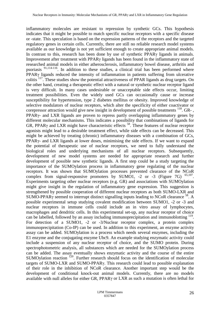inflammatory molecules are resistant to repression by synthetic GCs. This hypothesis indicates that it might be possible to match specific nuclear receptors with a specific disease or -state. This speculation is based on the expression patterns of the receptors and the targeted regulatory genes in certain cells. Currently, there are still no reliable research model systems available as our knowledge is not yet sufficient enough to create appropriate animal models. In contrast to this, research has been done by use of synthetic PPARγ ligands in animals. Improvement after treatment with PPARγ ligands has been found in the inflammatory state of researched animal models in either atherosclerosis, inflammatory bowel disease, arthritis and psoriasis  $91,114-116$ . In addition to these studies, a clinical trial has been performed where PPARγ ligands reduced the intensity of inflammation in patients suffering from ulcerative colitis <sup>117</sup>. These studies show the potential attractiveness of PPAR ligands as drug targets. On the other hand, creating a therapeutic effect with a natural or synthetic nuclear receptor ligand is very difficult. In many cases undesirable or unacceptable side effects occur, limiting treatment possibilities. Even the widely used GCs can occasionally cause or increase susceptibility for hypertension, type 2 diabetes mellitus or obesity. Improved knowledge of selective modulators of nuclear receptors, which alter the specificity of either coactivator or corepressor attraction would give new insight in development of possible treatments  $^{118}$ . GR-, PPARγ- and LXR ligands are proven to repress partly overlapping inflammatory genes by different molecular mechanisms. This indicates a possibility that combinations of ligands for GR, PPARγ and LXR might have characteristic effects <sup>58</sup>. These features of nuclear receptor agonists might lead to a desirable treatment effect, while side effects can be decreased. This might be achieved by treating (chronic) inflammatory diseases with a combination of GCs, PPARγ- and LXR ligands at lower doses, minimising the side effects. If we want to expand the potential of therapeutic use of nuclear receptors, we need to fully understand the biological roles and underlying mechanisms of all nuclear receptors. Subsequently, development of new model systems are needed for appropriate research and further development of possible new synthetic ligands. A first step could be a study targeting the importance of the SUMOylation process in inflammatory gene regulating of the nuclear receptors. It was shown that SUMOylation processes prevented clearance of the NCoR complex from signal-responsive promoters by SUMO1,  $-2$  or  $-3$  (Figure 7G)  $^{65,107}$ . Experiments targeting other nuclear receptors (e.g. GR) and associations with SUMOylation might give insight in the regulation of inflammatory gene expression. This suggestion is strengthened by possible cooperation of different nuclear receptors as both SUMO-LXR and SUMO-PPAR $\gamma$  seemed to interrupt distinct signalling inputs leading to NCoR clearance <sup>58</sup>. A possible experimental setup studying covalent modification between SUMO1, -2 or -3 and nuclear receptors in immune cells could include an in vitro assay of lymphocytes, macrophages and dendritic cells. In this experimental set-up, any nuclear receptor of choice can be labelled, followed by an assay including immunoprecipitation and immunoblotting <sup>119</sup>. For detection of a SUMO1, -2 or -3/Nuclear receptor complex, a protein complex immunoprecipitation (Co-IP) can be used. In addition to this experiment, an enzyme activity assay can be added. SUMOylation is a process which needs several enzymes, including the E1 enzyme and the conjugating enzyme Ubc9. An example studying enzymatic activity could include a suspension of any nuclear receptor of choice, and the SUMO protein. During spectrophotometric analysis, all substances which are needed for the SUMOylation process can be added. The assay eventually shows enzymatic activity and the course of the entire SUMOylation reaction <sup>120</sup>. Further research should focus on the identification of molecular targets of SUMO-LXR and SUMO-PPARγ. This research could lead to possible explanation of their role in the inhibition of NCoR clearance. Another important step would be the development of conditional knock-out animal models. Currently, there are no models available with null alleles for either GR, PPARγ or LXR as such a mutation is often lethal for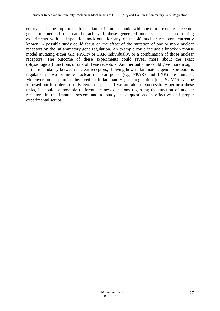embryos. The best option could be a knock-in mouse model with one or more nuclear receptor genes mutated. If this can be achieved, these generated models can be used during experiments with cell-specific knock-outs for any of the 48 nuclear receptors currently known. A possible study could focus on the effect of the mutation of one or more nuclear receptors on the inflammatory gene regulation. An example could include a knock-in mouse model mutating either GR, PPARγ or LXR individually, or a combination of those nuclear receptors. The outcome of these experiments could reveal more about the exact (physiological) functions of one of these receptors. Another outcome could give more insight in the redundancy between nuclear receptors, showing how inflammatory gene expression is regulated if two or more nuclear receptor genes (e.g. PPARγ and LXR) are mutated. Moreover, other proteins involved in inflammatory gene regulation (e.g. SUMO) can be knocked-out in order to study certain aspects. If we are able to successfully perform these tasks, it should be possible to formulate new questions regarding the function of nuclear receptors in the immune system and to study these questions in effective and proper experimental setups.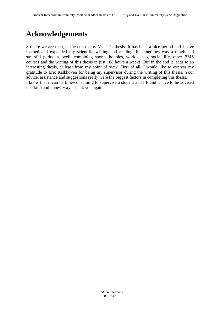# **Acknowledgements**

So here we are then, at the end of my Master's thesis. It has been a nice period and I have learned and expanded my scientific writing and reading. It sometimes was a tough and stressful period as well, combining sports, hobbies, work, sleep, social life, other BMS courses and the writing of this thesis in just 168 hours a week!! But in the end it leads to an interesting thesis, al least from my point of view. First of all, I would like to express my gratitude to Eric Kalkhoven for being my supervisor during the writing of this thesis. Your advice, assistance and suggestions really were the biggest factors in completing this thesis. I know that it can be time-consuming to supervise a student and I found it nice to be advised in a kind and honest way. Thank you again.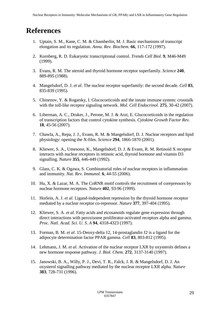# **References**

- 1. Uptain, S. M., Kane, C. M. & Chamberlin, M. J. Basic mechanisms of transcript elongation and its regulation. *Annu. Rev. Biochem.* **66**, 117-172 (1997).
- 2. Kornberg, R. D. Eukaryotic transcriptional control. *Trends Cell Biol.* **9**, M46-M49 (1999).
- 3. Evans, R. M. The steroid and thyroid hormone receptor superfamily. *Science* **240**, 889-895 (1988).
- 4. Mangelsdorf, D. J. *et al.* The nuclear receptor superfamily: the second decade. *Cell* **83**, 835-839 (1995).
- 5. Chinenov, Y. & Rogatsky, I. Glucocorticoids and the innate immune system: crosstalk with the toll-like receptor signaling network. *Mol. Cell Endocrinol.* **275**, 30-42 (2007).
- 6. Liberman, A. C., Druker, J., Perone, M. J. & Arzt, E. Glucocorticoids in the regulation of transcription factors that control cytokine synthesis. *Cytokine Growth Factor Rev.* **18**, 45-56 (2007).
- 7. Chawla, A., Repa, J. J., Evans, R. M. & Mangelsdorf, D. J. Nuclear receptors and lipid physiology: opening the X-files. *Science* **294**, 1866-1870 (2001).
- 8. Kliewer, S. A., Umesono, K., Mangelsdorf, D. J. & Evans, R. M. Retinoid X receptor interacts with nuclear receptors in retinoic acid, thyroid hormone and vitamin D3 signalling. *Nature* **355**, 446-449 (1992).
- 9. Glass, C. K. & Ogawa, S. Combinatorial roles of nuclear receptors in inflammation and immunity. *Nat. Rev. Immunol.* **6**, 44-55 (2006).
- 10. Hu, X. & Lazar, M. A. The CoRNR motif controls the recruitment of corepressors by nuclear hormone receptors. *Nature* **402**, 93-96 (1999).
- 11. Horlein, A. J. *et al.* Ligand-independent repression by the thyroid hormone receptor mediated by a nuclear receptor co-repressor. *Nature* **377**, 397-404 (1995).
- 12. Kliewer, S. A. *et al.* Fatty acids and eicosanoids regulate gene expression through direct interactions with peroxisome proliferator-activated receptors alpha and gamma. *Proc. Natl. Acad. Sci. U. S. A* **94**, 4318-4323 (1997).
- 13. Forman, B. M. *et al.* 15-Deoxy-delta 12, 14-prostaglandin J2 is a ligand for the adipocyte determination factor PPAR gamma. *Cell* **83**, 803-812 (1995).
- 14. Lehmann, J. M. *et al.* Activation of the nuclear receptor LXR by oxysterols defines a new hormone response pathway. *J. Biol. Chem.* **272**, 3137-3140 (1997).
- 15. Janowski, B. A., Willy, P. J., Devi, T. R., Falck, J. R. & Mangelsdorf, D. J. An oxysterol signalling pathway mediated by the nuclear receptor LXR alpha. *Nature* **383**, 728-731 (1996).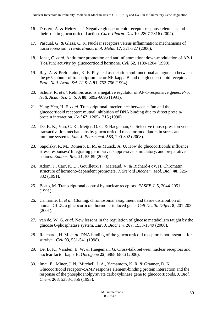- 16. Dostert, A. & Heinzel, T. Negative glucocorticoid receptor response elements and their role in glucocorticoid action. *Curr. Pharm. Des* **10**, 2807-2816 (2004).
- 17. Pascual, G. & Glass, C. K. Nuclear receptors versus inflammation: mechanisms of transrepression. *Trends Endocrinol. Metab* **17**, 321-327 (2006).
- 18. Jonat, C. *et al.* Antitumor promotion and antiinflammation: down-modulation of AP-1 (Fos/Jun) activity by glucocorticoid hormone. *Cell* **62**, 1189-1204 (1990).
- 19. Ray, A. & Prefontaine, K. E. Physical association and functional antagonism between the p65 subunit of transcription factor NF-kappa B and the glucocorticoid receptor. *Proc. Natl. Acad. Sci. U. S. A* **91**, 752-756 (1994).
- 20. Schule, R. *et al.* Retinoic acid is a negative regulator of AP-1-responsive genes. *Proc. Natl. Acad. Sci. U. S. A* **88**, 6092-6096 (1991).
- 21. Yang-Yen, H. F. *et al.* Transcriptional interference between c-Jun and the glucocorticoid receptor: mutual inhibition of DNA binding due to direct proteinprotein interaction. *Cell* **62**, 1205-1215 (1990).
- 22. De, B. K., Van, C. K., Meijer, O. C. & Haegeman, G. Selective transrepression versus transactivation mechanisms by glucocorticoid receptor modulators in stress and immune systems. *Eur. J. Pharmacol.* **583**, 290-302 (2008).
- 23. Sapolsky, R. M., Romero, L. M. & Munck, A. U. How do glucocorticoids influence stress responses? Integrating permissive, suppressive, stimulatory, and preparative actions. *Endocr. Rev.* **21**, 55-89 (2000).
- 24. Adom, J., Carr, K. D., Gouilleux, F., Marsaud, V. & Richard-Foy, H. Chromatin structure of hormono-dependent promoters. *J. Steroid Biochem. Mol. Biol.* **40**, 325- 332 (1991).
- 25. Beato, M. Transcriptional control by nuclear receptors. *FASEB J.* **5**, 2044-2051 (1991).
- 26. Cannarile, L. *et al.* Cloning, chromosomal assignment and tissue distribution of human GILZ, a glucocorticoid hormone-induced gene. *Cell Death. Differ.* **8**, 201-203 (2001).
- 27. van de, W. G. *et al.* New lessons in the regulation of glucose metabolism taught by the glucose 6-phosphatase system. *Eur. J. Biochem.* **267**, 1533-1549 (2000).
- 28. Reichardt, H. M. *et al.* DNA binding of the glucocorticoid receptor is not essential for survival. *Cell* **93**, 531-541 (1998).
- 29. De, B. K., Vanden, B. W. & Haegeman, G. Cross-talk between nuclear receptors and nuclear factor kappaB. *Oncogene* **25**, 6868-6886 (2006).
- 30. Imai, E., Miner, J. N., Mitchell, J. A., Yamamoto, K. R. & Granner, D. K. Glucocorticoid receptor-cAMP response element-binding protein interaction and the response of the phosphoenolpyruvate carboxykinase gene to glucocorticoids. *J. Biol. Chem.* **268**, 5353-5356 (1993).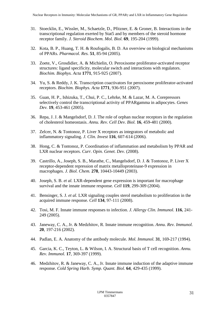- 31. Stoecklin, E., Wissler, M., Schaetzle, D., Pfitzner, E. & Groner, B. Interactions in the transcriptional regulation exerted by Stat5 and by members of the steroid hormone receptor family. *J. Steroid Biochem. Mol. Biol.* **69**, 195-204 (1999).
- 32. Kota, B. P., Huang, T. H. & Roufogalis, B. D. An overview on biological mechanisms of PPARs. *Pharmacol. Res.* **51**, 85-94 (2005).
- 33. Zoete, V., Grosdidier, A. & Michielin, O. Peroxisome proliferator-activated receptor structures: ligand specificity, molecular switch and interactions with regulators. *Biochim. Biophys. Acta* **1771**, 915-925 (2007).
- 34. Yu, S. & Reddy, J. K. Transcription coactivators for peroxisome proliferator-activated receptors. *Biochim. Biophys. Acta* **1771**, 936-951 (2007).
- 35. Guan, H. P., Ishizuka, T., Chui, P. C., Lehrke, M. & Lazar, M. A. Corepressors selectively control the transcriptional activity of PPARgamma in adipocytes. *Genes Dev.* **19**, 453-461 (2005).
- 36. Repa, J. J. & Mangelsdorf, D. J. The role of orphan nuclear receptors in the regulation of cholesterol homeostasis. *Annu. Rev. Cell Dev. Biol.* **16**, 459-481 (2000).
- 37. Zelcer, N. & Tontonoz, P. Liver X receptors as integrators of metabolic and inflammatory signaling. *J. Clin. Invest* **116**, 607-614 (2006).
- 38. Hong, C. & Tontonoz, P. Coordination of inflammation and metabolism by PPAR and LXR nuclear receptors. *Curr. Opin. Genet. Dev.* (2008).
- 39. Castrillo, A., Joseph, S. B., Marathe, C., Mangelsdorf, D. J. & Tontonoz, P. Liver X receptor-dependent repression of matrix metalloproteinase-9 expression in macrophages. *J. Biol. Chem.* **278**, 10443-10449 (2003).
- 40. Joseph, S. B. *et al.* LXR-dependent gene expression is important for macrophage survival and the innate immune response. *Cell* **119**, 299-309 (2004).
- 41. Bensinger, S. J. *et al.* LXR signaling couples sterol metabolism to proliferation in the acquired immune response. *Cell* **134**, 97-111 (2008).
- 42. Tosi, M. F. Innate immune responses to infection. *J. Allergy Clin. Immunol.* **116**, 241- 249 (2005).
- 43. Janeway, C. A., Jr. & Medzhitov, R. Innate immune recognition. *Annu. Rev. Immunol.* **20**, 197-216 (2002).
- 44. Padlan, E. A. Anatomy of the antibody molecule. *Mol. Immunol.* **31**, 169-217 (1994).
- 45. Garcia, K. C., Teyton, L. & Wilson, I. A. Structural basis of T cell recognition. *Annu. Rev. Immunol.* **17**, 369-397 (1999).
- 46. Medzhitov, R. & Janeway, C. A., Jr. Innate immune induction of the adaptive immune response. *Cold Spring Harb. Symp. Quant. Biol.* **64**, 429-435 (1999).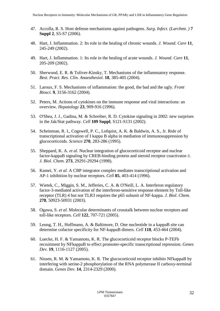- 47. Accolla, R. S. Host defense mechanisms against pathogens. *Surg. Infect. (Larchmt. )* **7 Suppl 2**, S5-S7 (2006).
- 48. Hart, J. Inflammation. 2: Its role in the healing of chronic wounds. *J. Wound. Care* **11**, 245-249 (2002).
- 49. Hart, J. Inflammation. 1: Its role in the healing of acute wounds. *J. Wound. Care* **11**, 205-209 (2002).
- 50. Sherwood, E. R. & Toliver-Kinsky, T. Mechanisms of the inflammatory response. *Best. Pract. Res. Clin. Anaesthesiol.* **18**, 385-405 (2004).
- 51. Laroux, F. S. Mechanisms of inflammation: the good, the bad and the ugly. *Front Biosci.* **9**, 3156-3162 (2004).
- 52. Peters, M. Actions of cytokines on the immune response and viral interactions: an overview. *Hepatology* **23**, 909-916 (1996).
- 53. O'Shea, J. J., Gadina, M. & Schreiber, R. D. Cytokine signaling in 2002: new surprises in the Jak/Stat pathway. *Cell* **109 Suppl**, S121-S131 (2002).
- 54. Scheinman, R. I., Cogswell, P. C., Lofquist, A. K. & Baldwin, A. S., Jr. Role of transcriptional activation of I kappa B alpha in mediation of immunosuppression by glucocorticoids. *Science* **270**, 283-286 (1995).
- 55. Sheppard, K. A. *et al.* Nuclear integration of glucocorticoid receptor and nuclear factor-kappaB signaling by CREB-binding protein and steroid receptor coactivator-1. *J. Biol. Chem.* **273**, 29291-29294 (1998).
- 56. Kamei, Y. *et al.* A CBP integrator complex mediates transcriptional activation and AP-1 inhibition by nuclear receptors. *Cell* **85**, 403-414 (1996).
- 57. Wietek, C., Miggin, S. M., Jefferies, C. A. & O'Neill, L. A. Interferon regulatory factor-3-mediated activation of the interferon-sensitive response element by Toll-like receptor (TLR) 4 but not TLR3 requires the p65 subunit of NF-kappa. *J. Biol. Chem.* **278**, 50923-50931 (2003).
- 58. Ogawa, S. *et al.* Molecular determinants of crosstalk between nuclear receptors and toll-like receptors. *Cell* **122**, 707-721 (2005).
- 59. Leung, T. H., Hoffmann, A. & Baltimore, D. One nucleotide in a kappaB site can determine cofactor specificity for NF-kappaB dimers. *Cell* **118**, 453-464 (2004).
- 60. Luecke, H. F. & Yamamoto, K. R. The glucocorticoid receptor blocks P-TEFb recruitment by NFkappaB to effect promoter-specific transcriptional repression. *Genes Dev.* **19**, 1116-1127 (2005).
- 61. Nissen, R. M. & Yamamoto, K. R. The glucocorticoid receptor inhibits NFkappaB by interfering with serine-2 phosphorylation of the RNA polymerase II carboxy-terminal domain. *Genes Dev.* **14**, 2314-2329 (2000).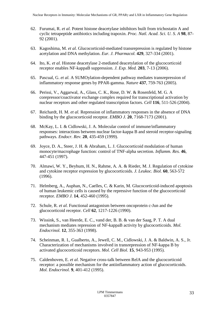- 62. Furumai, R. *et al.* Potent histone deacetylase inhibitors built from trichostatin A and cyclic tetrapeptide antibiotics including trapoxin. *Proc. Natl. Acad. Sci. U. S. A* **98**, 87- 92 (2001).
- 63. Kagoshima, M. *et al.* Glucocorticoid-mediated transrepression is regulated by histone acetylation and DNA methylation. *Eur. J. Pharmacol.* **429**, 327-334 (2001).
- 64. Ito, K. *et al.* Histone deacetylase 2-mediated deacetylation of the glucocorticoid receptor enables NF-kappaB suppression. *J. Exp. Med.* **203**, 7-13 (2006).
- 65. Pascual, G. *et al.* A SUMOylation-dependent pathway mediates transrepression of inflammatory response genes by PPAR-gamma. *Nature* **437**, 759-763 (2005).
- 66. Perissi, V., Aggarwal, A., Glass, C. K., Rose, D. W. & Rosenfeld, M. G. A corepressor/coactivator exchange complex required for transcriptional activation by nuclear receptors and other regulated transcription factors. *Cell* **116**, 511-526 (2004).
- 67. Reichardt, H. M. *et al.* Repression of inflammatory responses in the absence of DNA binding by the glucocorticoid receptor. *EMBO J.* **20**, 7168-7173 (2001).
- 68. McKay, L. I. & Cidlowski, J. A. Molecular control of immune/inflammatory responses: interactions between nuclear factor-kappa B and steroid receptor-signaling pathways. *Endocr. Rev.* **20**, 435-459 (1999).
- 69. Joyce, D. A., Steer, J. H. & Abraham, L. J. Glucocorticoid modulation of human monocyte/macrophage function: control of TNF-alpha secretion. *Inflamm. Res.* **46**, 447-451 (1997).
- 70. Almawi, W. Y., Beyhum, H. N., Rahme, A. A. & Rieder, M. J. Regulation of cytokine and cytokine receptor expression by glucocorticoids. *J. Leukoc. Biol.* **60**, 563-572 (1996).
- 71. Helmberg, A., Auphan, N., Caelles, C. & Karin, M. Glucocorticoid-induced apoptosis of human leukemic cells is caused by the repressive function of the glucocorticoid receptor. *EMBO J.* **14**, 452-460 (1995).
- 72. Schule, R. *et al.* Functional antagonism between oncoprotein c-Jun and the glucocorticoid receptor. *Cell* **62**, 1217-1226 (1990).
- 73. Wissink, S., van Heerde, E. C., vand der, B. B. & van der Saag, P. T. A dual mechanism mediates repression of NF-kappaB activity by glucocorticoids. *Mol. Endocrinol.* **12**, 355-363 (1998).
- 74. Scheinman, R. I., Gualberto, A., Jewell, C. M., Cidlowski, J. A. & Baldwin, A. S., Jr. Characterization of mechanisms involved in transrepression of NF-kappa B by activated glucocorticoid receptors. *Mol. Cell Biol.* **15**, 943-953 (1995).
- 75. Caldenhoven, E. *et al.* Negative cross-talk between RelA and the glucocorticoid receptor: a possible mechanism for the antiinflammatory action of glucocorticoids. *Mol. Endocrinol.* **9**, 401-412 (1995).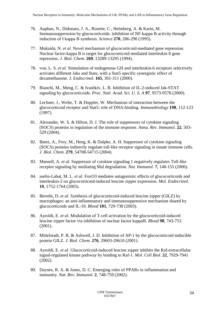- 76. Auphan, N., Didonato, J. A., Rosette, C., Helmberg, A. & Karin, M. Immunosuppression by glucocorticoids: inhibition of NF-kappa B activity through induction of I kappa B synthesis. *Science* **270**, 286-290 (1995).
- 77. Mukaida, N. *et al.* Novel mechanism of glucocorticoid-mediated gene repression. Nuclear factor-kappa B is target for glucocorticoid-mediated interleukin 8 gene repression. *J. Biol. Chem.* **269**, 13289-13295 (1994).
- 78. von, L. S. *et al.* Stimulation of endogenous GH and interleukin-6 receptors selectively activates different Jaks and Stats, with a Stat5 specific synergistic effect of dexamethasone. *J. Endocrinol.* **165**, 301-311 (2000).
- 79. Bianchi, M., Meng, C. & Ivashkiv, L. B. Inhibition of IL-2-induced Jak-STAT signaling by glucocorticoids. *Proc. Natl. Acad. Sci. U. S. A* **97**, 9573-9578 (2000).
- 80. Lechner, J., Welte, T. & Doppler, W. Mechanism of interaction between the glucocorticoid receptor and Stat5: role of DNA-binding. *Immunobiology* **198**, 112-123 (1997).
- 81. Alexander, W. S. & Hilton, D. J. The role of suppressors of cytokine signaling (SOCS) proteins in regulation of the immune response. *Annu. Rev. Immunol.* **22**, 503- 529 (2004).
- 82. Baetz, A., Frey, M., Heeg, K. & Dalpke, A. H. Suppressor of cytokine signaling (SOCS) proteins indirectly regulate toll-like receptor signaling in innate immune cells. *J. Biol. Chem.* **279**, 54708-54715 (2004).
- 83. Mansell, A. *et al.* Suppressor of cytokine signaling 1 negatively regulates Toll-like receptor signaling by mediating Mal degradation. *Nat. Immunol.* **7**, 148-155 (2006).
- 84. sselin-Labat, M. L. *et al.* FoxO3 mediates antagonistic effects of glucocorticoids and interleukin-2 on glucocorticoid-induced leucine zipper expression. *Mol. Endocrinol.* **19**, 1752-1764 (2005).
- 85. Berrebi, D. *et al.* Synthesis of glucocorticoid-induced leucine zipper (GILZ) by macrophages: an anti-inflammatory and immunosuppressive mechanism shared by glucocorticoids and IL-10. *Blood* **101**, 729-738 (2003).
- 86. Ayroldi, E. *et al.* Modulation of T-cell activation by the glucocorticoid-induced leucine zipper factor via inhibition of nuclear factor kappaB. *Blood* **98**, 743-753 (2001).
- 87. Mittelstadt, P. R. & Ashwell, J. D. Inhibition of AP-1 by the glucocorticoid-inducible protein GILZ. *J. Biol. Chem.* **276**, 29603-29610 (2001).
- 88. Ayroldi, E. *et al.* Glucocorticoid-induced leucine zipper inhibits the Raf-extracellular signal-regulated kinase pathway by binding to Raf-1. *Mol. Cell Biol.* **22**, 7929-7941 (2002).
- 89. Daynes, R. A. & Jones, D. C. Emerging roles of PPARs in inflammation and immunity. *Nat. Rev. Immunol.* **2**, 748-759 (2002).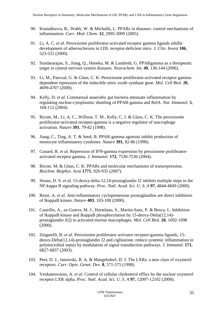- 90. Kostadinova, R., Wahli, W. & Michalik, L. PPARs in diseases: control mechanisms of inflammation. *Curr. Med. Chem.* **12**, 2995-3009 (2005).
- 91. Li, A. C. *et al.* Peroxisome proliferator-activated receptor gamma ligands inhibit development of atherosclerosis in LDL receptor-deficient mice. *J. Clin. Invest* **106**, 523-531 (2000).
- 92. Sundararajan, S., Jiang, Q., Heneka, M. & Landreth, G. PPARgamma as a therapeutic target in central nervous system diseases. *Neurochem. Int.* **49**, 136-144 (2006).
- 93. Li, M., Pascual, G. & Glass, C. K. Peroxisome proliferator-activated receptor gammadependent repression of the inducible nitric oxide synthase gene. *Mol. Cell Biol.* **20**, 4699-4707 (2000).
- 94. Kelly, D. *et al.* Commensal anaerobic gut bacteria attenuate inflammation by regulating nuclear-cytoplasmic shuttling of PPAR-gamma and RelA. *Nat. Immunol.* **5**, 104-112 (2004).
- 95. Ricote, M., Li, A. C., Willson, T. M., Kelly, C. J. & Glass, C. K. The peroxisome proliferator-activated receptor-gamma is a negative regulator of macrophage activation. *Nature* **391**, 79-82 (1998).
- 96. Jiang, C., Ting, A. T. & Seed, B. PPAR-gamma agonists inhibit production of monocyte inflammatory cytokines. *Nature* **391**, 82-86 (1998).
- 97. Cunard, R. *et al.* Repression of IFN-gamma expression by peroxisome proliferatoractivated receptor gamma. *J. Immunol.* **172**, 7530-7536 (2004).
- 98. Ricote, M. & Glass, C. K. PPARs and molecular mechanisms of transrepression. *Biochim. Biophys. Acta* **1771**, 926-935 (2007).
- 99. Straus, D. S. *et al.* 15-deoxy-delta 12,14-prostaglandin J2 inhibits multiple steps in the NF-kappa B signaling pathway. *Proc. Natl. Acad. Sci. U. S. A* **97**, 4844-4849 (2000).
- 100. Rossi, A. *et al.* Anti-inflammatory cyclopentenone prostaglandins are direct inhibitors of IkappaB kinase. *Nature* **403**, 103-108 (2000).
- 101. Castrillo, A., az-Guerra, M. J., Hortelano, S., Martin-Sanz, P. & Bosca, L. Inhibition of IkappaB kinase and IkappaB phosphorylation by 15-deoxy-Delta(12,14) prostaglandin J(2) in activated murine macrophages. *Mol. Cell Biol.* **20**, 1692-1698 (2000).
- 102. Zingarelli, B. *et al.* Peroxisome proliferator activator receptor-gamma ligands, 15 deoxy-Delta(12,14)-prostaglandin J2 and ciglitazone, reduce systemic inflammation in polymicrobial sepsis by modulation of signal transduction pathways. *J. Immunol.* **171**, 6827-6837 (2003).
- 103. Peet, D. J., Janowski, B. A. & Mangelsdorf, D. J. The LXRs: a new class of oxysterol receptors. *Curr. Opin. Genet. Dev.* **8**, 571-575 (1998).
- 104. Venkateswaran, A. *et al.* Control of cellular cholesterol efflux by the nuclear oxysterol receptor LXR alpha. *Proc. Natl. Acad. Sci. U. S. A* **97**, 12097-12102 (2000).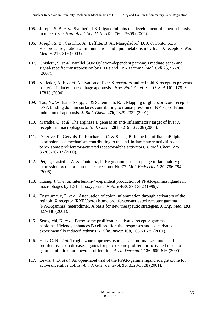- 105. Joseph, S. B. *et al.* Synthetic LXR ligand inhibits the development of atherosclerosis in mice. *Proc. Natl. Acad. Sci. U. S. A* **99**, 7604-7609 (2002).
- 106. Joseph, S. B., Castrillo, A., Laffitte, B. A., Mangelsdorf, D. J. & Tontonoz, P. Reciprocal regulation of inflammation and lipid metabolism by liver X receptors. *Nat. Med.* **9**, 213-219 (2003).
- 107. Ghisletti, S. *et al.* Parallel SUMOylation-dependent pathways mediate gene- and signal-specific transrepression by LXRs and PPARgamma. *Mol. Cell* **25**, 57-70 (2007).
- 108. Valledor, A. F. *et al.* Activation of liver X receptors and retinoid X receptors prevents bacterial-induced macrophage apoptosis. *Proc. Natl. Acad. Sci. U. S. A* **101**, 17813- 17818 (2004).
- 109. Tao, Y., Williams-Skipp, C. & Scheinman, R. I. Mapping of glucocorticoid receptor DNA binding domain surfaces contributing to transrepression of NF-kappa B and induction of apoptosis. *J. Biol. Chem.* **276**, 2329-2332 (2001).
- 110. Marathe, C. *et al.* The arginase II gene is an anti-inflammatory target of liver X receptor in macrophages. *J. Biol. Chem.* **281**, 32197-32206 (2006).
- 111. Delerive, P., Gervois, P., Fruchart, J. C. & Staels, B. Induction of IkappaBalpha expression as a mechanism contributing to the anti-inflammatory activities of peroxisome proliferator-activated receptor-alpha activators. *J. Biol. Chem.* **275**, 36703-36707 (2000).
- 112. Pei, L., Castrillo, A. & Tontonoz, P. Regulation of macrophage inflammatory gene expression by the orphan nuclear receptor Nur77. *Mol. Endocrinol.* **20**, 786-794 (2006).
- 113. Huang, J. T. *et al.* Interleukin-4-dependent production of PPAR-gamma ligands in macrophages by 12/15-lipoxygenase. *Nature* **400**, 378-382 (1999).
- 114. Desreumaux, P. *et al.* Attenuation of colon inflammation through activators of the retinoid X receptor (RXR)/peroxisome proliferator-activated receptor gamma (PPARgamma) heterodimer. A basis for new therapeutic strategies. *J. Exp. Med.* **193**, 827-838 (2001).
- 115. Setoguchi, K. *et al.* Peroxisome proliferator-activated receptor-gamma haploinsufficiency enhances B cell proliferative responses and exacerbates experimentally induced arthritis. *J. Clin. Invest* **108**, 1667-1675 (2001).
- 116. Ellis, C. N. *et al.* Troglitazone improves psoriasis and normalizes models of proliferative skin disease: ligands for peroxisome proliferator-activated receptorgamma inhibit keratinocyte proliferation. *Arch. Dermatol.* **136**, 609-616 (2000).
- 117. Lewis, J. D. *et al.* An open-label trial of the PPAR-gamma ligand rosiglitazone for active ulcerative colitis. *Am. J. Gastroenterol.* **96**, 3323-3328 (2001).